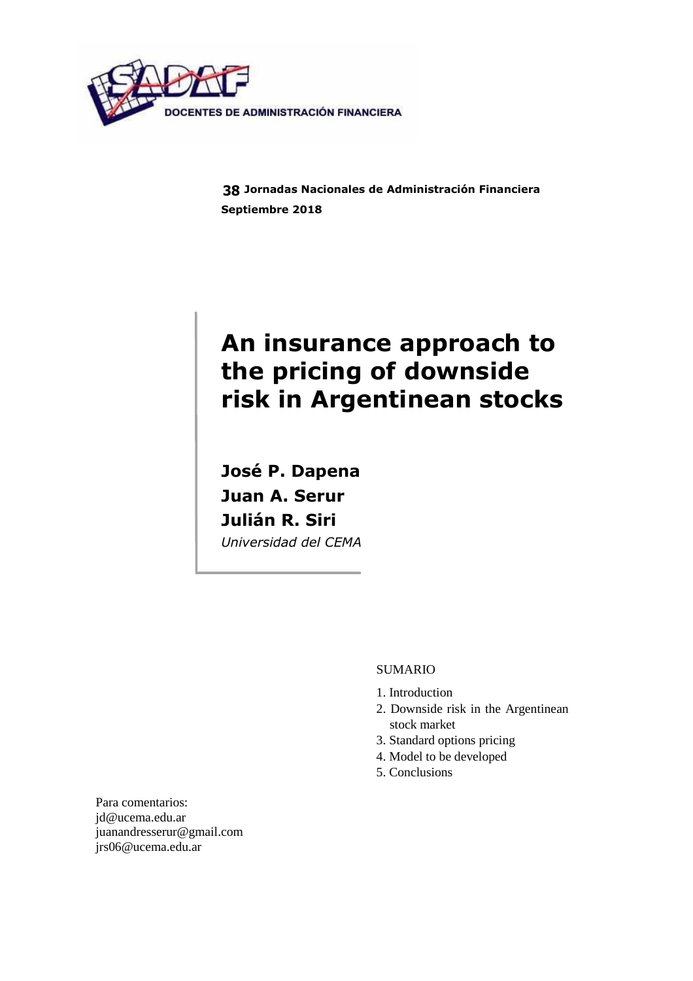

**Jornadas Nacionales de Administración Financiera 38Septiembre 2018** 

# **An insurance approach to the pricing of downside risk in Argentinean stocks**

**José P. Dapena Juan A. Serur Julián R. Siri**  *Universidad del CEMA* 

## SUMARIO

- 1. Introduction
- 2. Downside risk in the Argentinean stock market
- 3. Standard options pricing
- 4. Model to be developed
- 5. Conclusions

Para comentarios: jd@ucema.edu.ar juanandresserur@gmail.com jrs06@ucema.edu.ar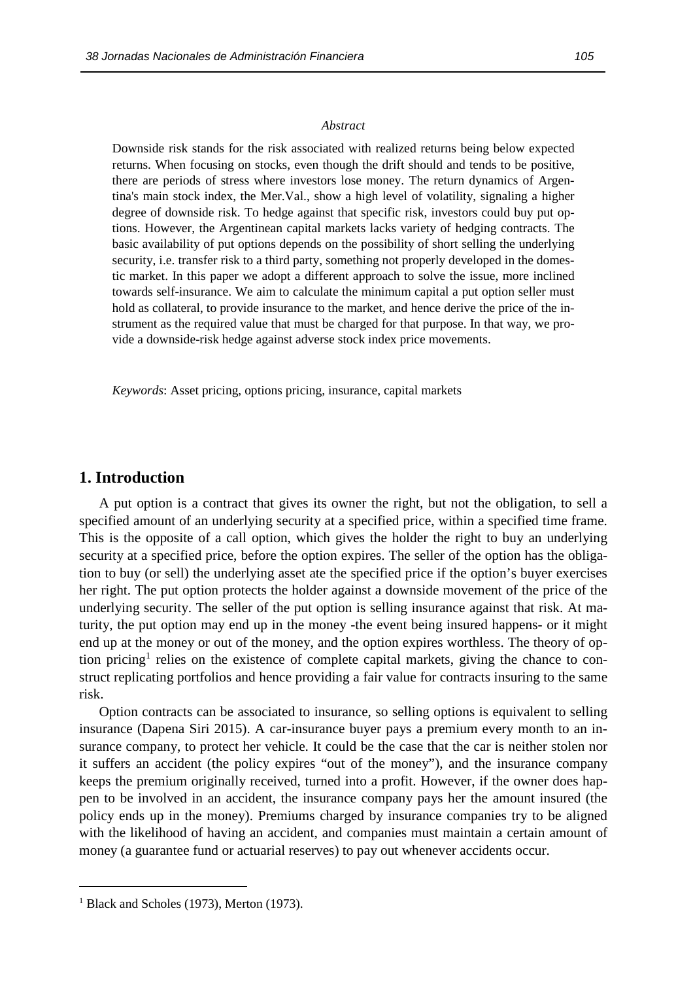#### *Abstract*

Downside risk stands for the risk associated with realized returns being below expected returns. When focusing on stocks, even though the drift should and tends to be positive, there are periods of stress where investors lose money. The return dynamics of Argentina's main stock index, the Mer.Val., show a high level of volatility, signaling a higher degree of downside risk. To hedge against that specific risk, investors could buy put options. However, the Argentinean capital markets lacks variety of hedging contracts. The basic availability of put options depends on the possibility of short selling the underlying security, i.e. transfer risk to a third party, something not properly developed in the domestic market. In this paper we adopt a different approach to solve the issue, more inclined towards self-insurance. We aim to calculate the minimum capital a put option seller must hold as collateral, to provide insurance to the market, and hence derive the price of the instrument as the required value that must be charged for that purpose. In that way, we provide a downside-risk hedge against adverse stock index price movements.

*Keywords*: Asset pricing, options pricing, insurance, capital markets

# **1. Introduction**

A put option is a contract that gives its owner the right, but not the obligation, to sell a specified amount of an underlying security at a specified price, within a specified time frame. This is the opposite of a call option, which gives the holder the right to buy an underlying security at a specified price, before the option expires. The seller of the option has the obligation to buy (or sell) the underlying asset ate the specified price if the option's buyer exercises her right. The put option protects the holder against a downside movement of the price of the underlying security. The seller of the put option is selling insurance against that risk. At maturity, the put option may end up in the money -the event being insured happens- or it might end up at the money or out of the money, and the option expires worthless. The theory of option pricing<sup>1</sup> relies on the existence of complete capital markets, giving the chance to construct replicating portfolios and hence providing a fair value for contracts insuring to the same risk.

Option contracts can be associated to insurance, so selling options is equivalent to selling insurance (Dapena Siri 2015). A car-insurance buyer pays a premium every month to an insurance company, to protect her vehicle. It could be the case that the car is neither stolen nor it suffers an accident (the policy expires "out of the money"), and the insurance company keeps the premium originally received, turned into a profit. However, if the owner does happen to be involved in an accident, the insurance company pays her the amount insured (the policy ends up in the money). Premiums charged by insurance companies try to be aligned with the likelihood of having an accident, and companies must maintain a certain amount of money (a guarantee fund or actuarial reserves) to pay out whenever accidents occur.

<sup>&</sup>lt;sup>1</sup> Black and Scholes (1973), Merton (1973).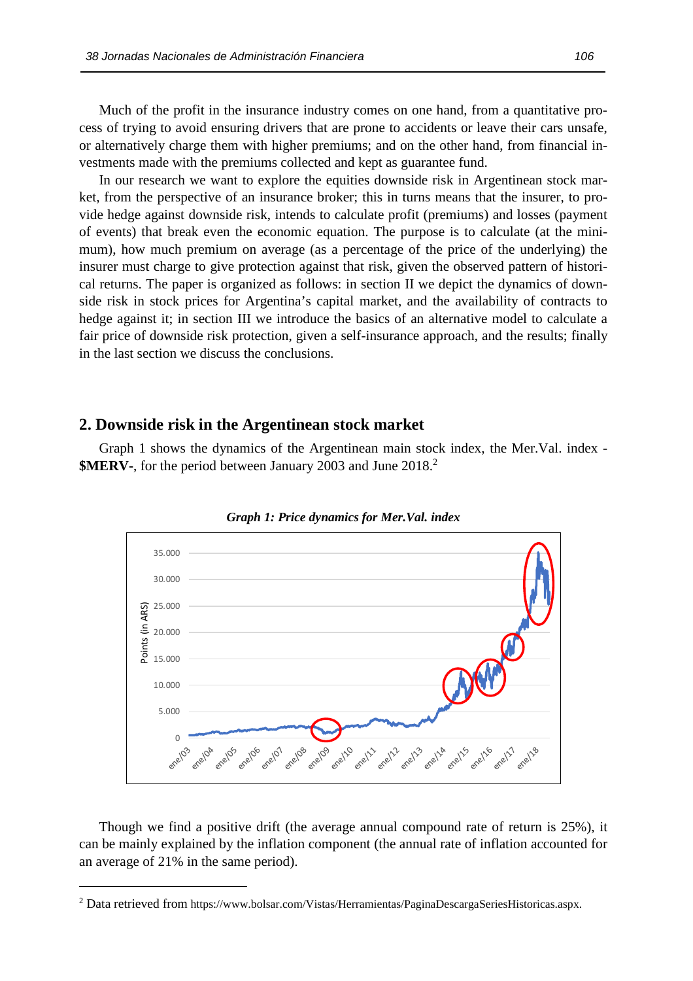Much of the profit in the insurance industry comes on one hand, from a quantitative process of trying to avoid ensuring drivers that are prone to accidents or leave their cars unsafe, or alternatively charge them with higher premiums; and on the other hand, from financial investments made with the premiums collected and kept as guarantee fund.

In our research we want to explore the equities downside risk in Argentinean stock market, from the perspective of an insurance broker; this in turns means that the insurer, to provide hedge against downside risk, intends to calculate profit (premiums) and losses (payment of events) that break even the economic equation. The purpose is to calculate (at the minimum), how much premium on average (as a percentage of the price of the underlying) the insurer must charge to give protection against that risk, given the observed pattern of historical returns. The paper is organized as follows: in section II we depict the dynamics of downside risk in stock prices for Argentina's capital market, and the availability of contracts to hedge against it; in section III we introduce the basics of an alternative model to calculate a fair price of downside risk protection, given a self-insurance approach, and the results; finally in the last section we discuss the conclusions.

## **2. Downside risk in the Argentinean stock market**

Graph 1 shows the dynamics of the Argentinean main stock index, the Mer.Val. index - **\$MERV-**, for the period between January 2003 and June 2018. 2





Though we find a positive drift (the average annual compound rate of return is 25%), it can be mainly explained by the inflation component (the annual rate of inflation accounted for an average of 21% in the same period).

<sup>&</sup>lt;sup>2</sup> Data retrieved from https://www.bolsar.com/Vistas/Herramientas/PaginaDescargaSeriesHistoricas.aspx.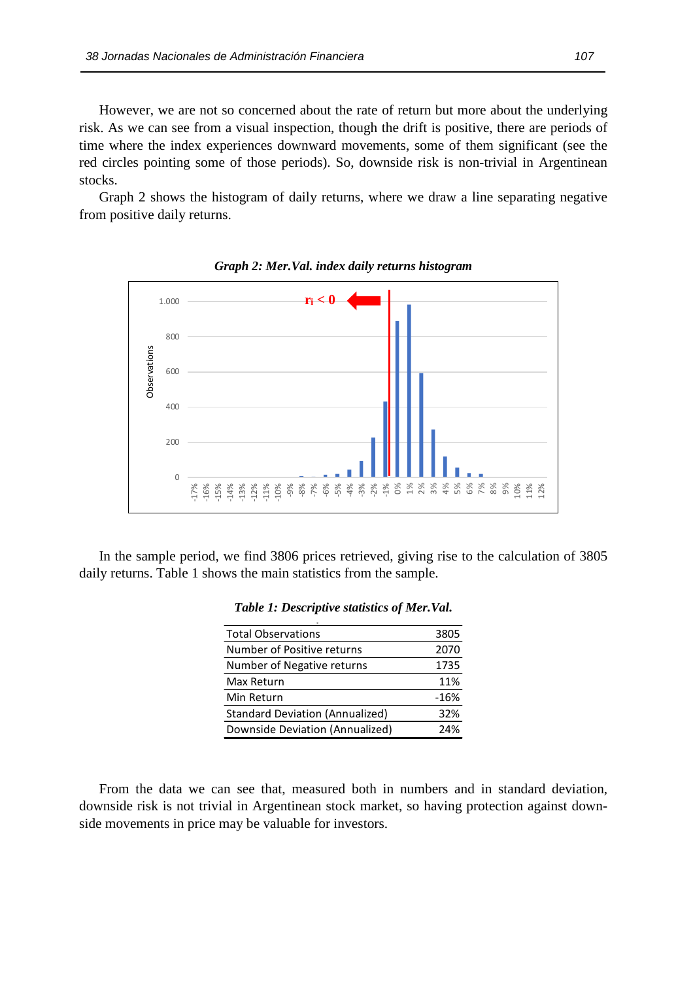However, we are not so concerned about the rate of return but more about the underlying risk. As we can see from a visual inspection, though the drift is positive, there are periods of time where the index experiences downward movements, some of them significant (see the red circles pointing some of those periods). So, downside risk is non-trivial in Argentinean stocks.

Graph 2 shows the histogram of daily returns, where we draw a line separating negative from positive daily returns.



*Graph 2: Mer.Val. index daily returns histogram* 

In the sample period, we find 3806 prices retrieved, giving rise to the calculation of 3805 daily returns. Table 1 shows the main statistics from the sample.

| <b>Total Observations</b>              | 3805   |
|----------------------------------------|--------|
| Number of Positive returns             | 2070   |
| Number of Negative returns             | 1735   |
| Max Return                             | 11%    |
| Min Return                             | $-16%$ |
| <b>Standard Deviation (Annualized)</b> | 32%    |
| Downside Deviation (Annualized)        | 24%    |

*Table 1: Descriptive statistics of Mer.Val.* **Table 1: Descriptive statistics of Mer.Val**

From the data we can see that, measured both in numbers and in standard deviation, downside risk is not trivial in Argentinean stock market, so having protection against downside movements in price may be valuable for investors.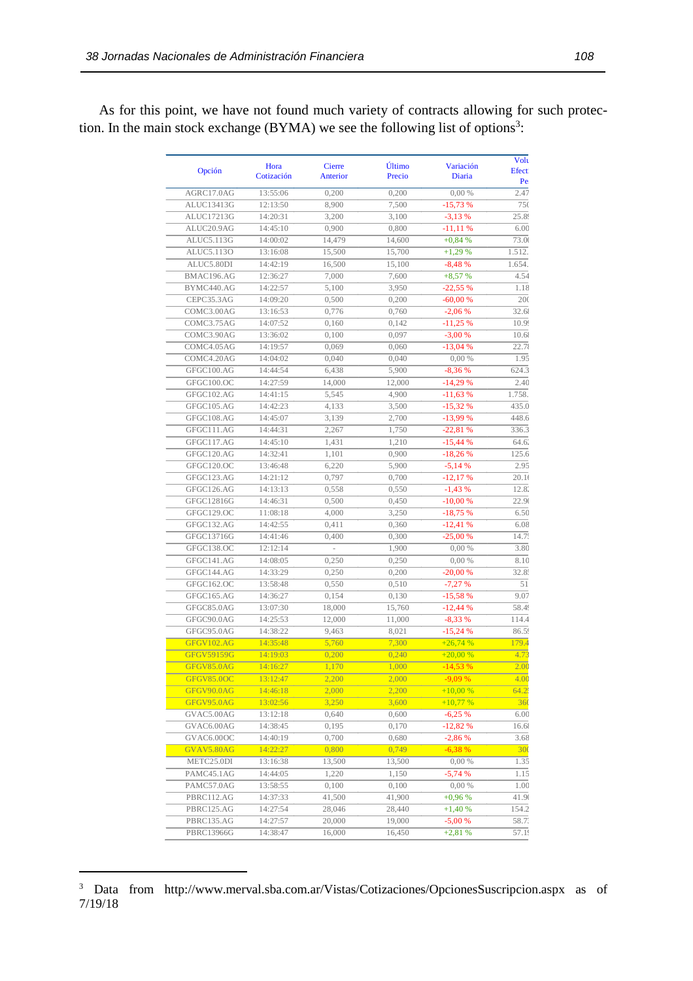As for this point, we have not found much variety of contracts allowing for such protection. In the main stock exchange  $(BYMA)$  we see the following list of options<sup>3</sup>:

| Opción                          | Hora<br>Cotización   | Cierre<br>Anterior | Último<br>Precio | Variación<br>Diaria    | Volt<br><b>Efect</b><br>Pe |
|---------------------------------|----------------------|--------------------|------------------|------------------------|----------------------------|
| AGRC17.0AG                      | 13:55:06             | 0,200              | 0,200            | 0,00%                  | 2.47                       |
| ALUC13413G                      | 12:13:50             | 8,900              | 7,500            | $-15,73%$              | 750                        |
| ALUC17213G                      | 14:20:31             | 3,200              | 3,100            | $-3,13%$               | 25.8                       |
| ALUC20.9AG                      | 14:45:10             | 0,900              | 0,800            | $-11,11%$              | 6.00                       |
| ALUC5.113G                      | 14:00:02             | 14,479             | 14,600           | $+0,84%$               | 73.00                      |
| ALUC5.113O                      | 13:16:08             | 15,500             | 15,700           | $+1,29%$               | 1.512.                     |
| ALUC5.80DI                      | 14:42:19             | 16,500             | 15,100           | $-8,48%$               | 1.654.                     |
| BMAC196.AG                      | 12:36:27             | 7,000              | 7,600            | $+8,57%$               | 4.54                       |
| BYMC440.AG                      | 14:22:57             | 5,100              | 3,950            | $-22,55%$              | 1.18                       |
| CEPC35.3AG                      | 14:09:20             | 0,500              | 0,200            | $-60,00%$              | 200                        |
| COMC3.00AG                      | 13:16:53             | 0,776              | 0,760            | $-2,06%$               | 32.6                       |
| COMC3.75AG                      | 14:07:52             | 0,160              | 0,142            | $-11,25%$              | 10.99                      |
| COMC3.90AG                      | 13:36:02             | 0,100              | 0,097            | $-3,00%$               | 10.6                       |
| COMC4.05AG                      | 14:19:57             | 0,069              | 0,060            | $-13,04%$              | 22.7                       |
| COMC4.20AG                      | 14:04:02             | 0,040              | 0,040            | 0,00%                  | 1.95                       |
| GFGC100.AG                      | 14:44:54             | 6,438              | 5,900            | $-8,36%$               | 624.3                      |
| GFGC100.OC                      | 14:27:59             | 14,000             | 12,000           | $-14,29%$              | 2.40                       |
| GFGC102.AG                      | 14:41:15             | 5,545              | 4,900            | $-11,63%$              | 1.758.                     |
| GFGC105.AG                      | 14:42:23             | 4,133              | 3,500            | $-15,32%$              | 435.0                      |
| GFGC108.AG                      | 14:45:07             | 3,139              | 2,700            | $-13,99%$              | 448.6                      |
| GFGC111.AG                      | 14:44:31             | 2,267              | 1,750            | $-22,81%$              | 336.3                      |
| GFGC117.AG                      | 14:45:10             | 1,431              | 1,210            | $-15,44%$              | 64.6.                      |
| GFGC120.AG                      | 14:32:41             | 1,101              | 0,900            | $-18,26%$              | 125.6                      |
| GFGC120.OC                      | 13:46:48             | 6,220              | 5,900            | $-5,14%$               | 2.95                       |
| GFGC123.AG                      | 14:21:12             | 0,797              | 0,700            | $-12,17%$              | 20.1(                      |
| GFGC126.AG                      | 14:13:13             | 0,558              | 0,550            | $-1,43%$               | 12.8                       |
| GFGC12816G                      | 14:46:31             | 0,500              | 0,450            | $-10,00%$              | 22.91                      |
| GFGC129.OC                      | 11:08:18             | 4,000              | 3,250            | $-18,75%$              | 6.50                       |
| GFGC132.AG                      | 14:42:55             | 0,411              | 0,360            | $-12,41%$              | 6.08                       |
| GFGC13716G                      | 14:41:46             | 0,400              | 0,300            | $-25,00%$              | 14.7:                      |
| GFGC138.OC                      | 12:12:14             |                    | 1,900            | 0,00%                  | 3.80                       |
| GFGC141.AG                      | 14:08:05             | 0,250              | 0,250            | 0,00%                  | 8.10                       |
| GFGC144.AG                      | 14:33:29             |                    |                  |                        | 32.8:                      |
| GFGC162.OC                      |                      | 0,250              | 0,200            | $-20,00%$              | 51                         |
|                                 | 13:58:48             | 0,550              | 0,510            | $-7,27%$               |                            |
| GFGC165.AG                      | 14:36:27             | 0,154              | 0,130            | $-15,58%$<br>$-12,44%$ | 9.07                       |
| GFGC85.0AG                      | 13:07:30             | 18,000             | 15,760           |                        | 58.4                       |
| GFGC90.0AG                      | 14:25:53             | 12,000             | 11,000           | $-8,33%$               | 114.4                      |
| GFGC95.0AG                      | 14:38:22             | 9,463              | 8,021            | $-15,24%$              | 86.5                       |
| GFGV102.AG                      | 14:35:48             | 5,760              | 7,300            | $+26,74%$              | 179.4                      |
| <b>GFGV59159G</b><br>GFGV85.0AG | 14:19:03<br>14:16:27 | 0,200              | 0,240            | $+20,00%$              | 4.73<br>2.00               |
|                                 |                      | 1,170              | 1,000            | $-14,53%$              |                            |
| GFGV85.0OC                      | 13:12:47             | 2,200              | 2,000            | $-9,09%$               | 4.00                       |
| GFGV90.0AG                      | 14:46:18             | 2,000              | 2,200            | $+10,00%$              | 64.2                       |
| GFGV95.0AG                      | 13:02:56             | 3,250              | 3,600            | $+10,77%$              | 36(                        |
| GVAC5.00AG                      | 13:12:18             | 0,640              | 0,600            | $-6,25%$               | 6.00                       |
| GVAC6.00AG                      | 14:38:45             | 0,195              | 0,170            | $-12,82%$              | 16.6                       |
| GVAC6.00OC                      | 14:40:19             | 0,700              | 0,680            | $-2,86%$               | 3.68                       |
| GVAV5.80AG                      | 14:22:27             | 0,800              | 0,749            | $-6,38%$               | 300                        |
| METC25.0DI                      | 13:16:38             | 13,500             | 13,500           | 0,00%                  | 1.35                       |
| PAMC45.1AG                      | 14:44:05             | 1,220              | 1,150            | $-5,74%$               | 1.15                       |
| PAMC57.0AG                      | 13:58:55             | 0,100              | 0,100            | 0,00%                  | 1.00                       |
| PBRC112.AG                      | 14:37:33             | 41,500             | 41,900           | $+0,96%$               | 41.90                      |
| PBRC125.AG                      | 14:27:54             | 28,046             | 28,440           | $+1,40%$               | 154.2                      |
| PBRC135.AG                      | 14:27:57             | 20,000             | 19,000           | $-5,00%$               | 58.7.                      |
| PBRC13966G                      | 14:38:47             | 16,000             | 16,450           | $+2,81%$               | 57.19                      |

<sup>&</sup>lt;sup>3</sup> Data from http://www.merval.sba.com.ar/Vistas/Cotizaciones/OpcionesSuscripcion.aspx as of 7/19/18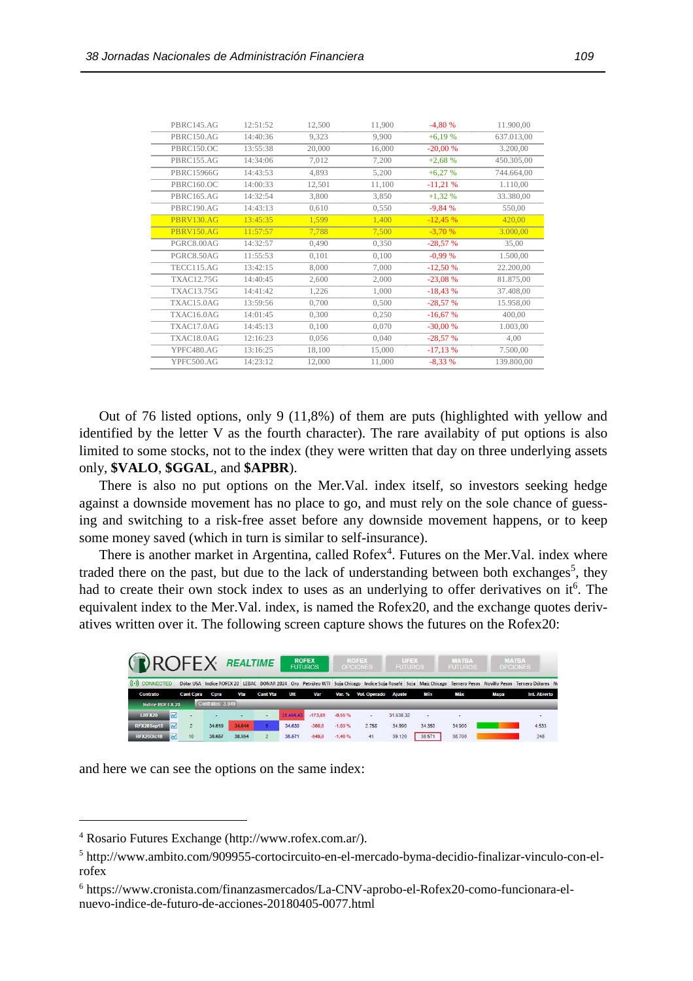| PBRC145.AG        | 12:51:52 | 12,500 | 11,900 | $-4,80%$  | 11.900,00  |
|-------------------|----------|--------|--------|-----------|------------|
| PBRC150.AG        | 14:40:36 | 9,323  | 9,900  | $+6,19%$  | 637.013,00 |
| PBRC150.OC        | 13:55:38 | 20,000 | 16,000 | $-20,00%$ | 3.200,00   |
| PBRC155.AG        | 14:34:06 | 7,012  | 7,200  | $+2,68%$  | 450.305,00 |
| PBRC15966G        | 14:43:53 | 4,893  | 5,200  | $+6,27%$  | 744.664,00 |
| PBRC160.OC        | 14:00:33 | 12,501 | 11,100 | $-11,21%$ | 1.110,00   |
| PBRC165.AG        | 14:32:54 | 3,800  | 3,850  | $+1,32%$  | 33.380,00  |
| PBRC190.AG        | 14:43:13 | 0,610  | 0,550  | $-9,84%$  | 550,00     |
| <b>PBRV130.AG</b> | 13:45:35 | 1,599  | 1,400  | $-12,45%$ | 420,00     |
| <b>PBRV150.AG</b> | 11:57:57 | 7,788  | 7,500  | $-3,70%$  | 3.000,00   |
| PGRC8.00AG        | 14:32:57 | 0,490  | 0,350  | $-28,57%$ | 35,00      |
| PGRC8.50AG        | 11:55:53 | 0,101  | 0,100  | $-0.99%$  | 1.500,00   |
| TECC115.AG        | 13:42:15 | 8,000  | 7,000  | $-12,50%$ | 22.200,00  |
| <b>TXAC12.75G</b> | 14:40:45 | 2,600  | 2,000  | $-23,08%$ | 81.875,00  |
| <b>TXAC13.75G</b> | 14:41:42 | 1,226  | 1,000  | $-18,43%$ | 37.408,00  |
| TXAC15.0AG        | 13:59:56 | 0,700  | 0,500  | $-28,57%$ | 15.958,00  |
| TXAC16.0AG        | 14:01:45 | 0,300  | 0,250  | $-16,67%$ | 400,00     |
| TXAC17.0AG        | 14:45:13 | 0,100  | 0,070  | $-30,00%$ | 1.003,00   |
| TXAC18.0AG        | 12:16:23 | 0,056  | 0,040  | $-28,57%$ | 4,00       |
| YPFC480.AG        | 13:16:25 | 18,100 | 15,000 | $-17,13%$ | 7.500,00   |
| YPFC500.AG        | 14:23:12 | 12,000 | 11,000 | $-8,33%$  | 139.800,00 |

Out of 76 listed options, only 9 (11,8%) of them are puts (highlighted with yellow and identified by the letter V as the fourth character). The rare availabity of put options is also limited to some stocks, not to the index (they were written that day on three underlying assets only, **\$VALO**, **\$GGAL**, and **\$APBR**).

There is also no put options on the Mer.Val. index itself, so investors seeking hedge against a downside movement has no place to go, and must rely on the sole chance of guessing and switching to a risk-free asset before any downside movement happens, or to keep some money saved (which in turn is similar to self-insurance).

There is another market in Argentina, called Rofex<sup>4</sup>. Futures on the Mer. Val. index where traded there on the past, but due to the lack of understanding between both exchanges<sup>5</sup>, they had to create their own stock index to uses as an underlying to offer derivatives on it<sup>6</sup>. The equivalent index to the Mer.Val. index, is named the Rofex20, and the exchange quotes derivatives written over it. The following screen capture shows the futures on the Rofex20:

| <b>DROFEX</b>                          |                  |                  | <b>REALTIME</b> |                 |           | <b>ROFEX</b><br><b>FUTUROS</b> |          | <b>ROFEX</b><br><b>OPCIONES</b> | UFEX<br><b>FUTUROS</b> |                            | <b>MATBA</b><br><b>FUTUROS</b> |      | <b>MATBA</b><br><b>OPCIONES</b>                                                                                                                             |
|----------------------------------------|------------------|------------------|-----------------|-----------------|-----------|--------------------------------|----------|---------------------------------|------------------------|----------------------------|--------------------------------|------|-------------------------------------------------------------------------------------------------------------------------------------------------------------|
| $((\cdot))$ CONNECTED                  |                  |                  |                 |                 |           |                                |          |                                 |                        |                            |                                |      | Dólar USA Indice ROFEX 20 LEBAC BONAR 2024 Oro Petróleo WTI Soja Chicago Indice Soja Rosafé Soja Maíz Chicago Ternero Pesos Novillo Pesos Ternero Dólares P |
| Contrato                               | <b>Cant Cpra</b> | Cpra             | Vta             | <b>Cant Vta</b> | Ult       | Var                            | Var. %   | Vol. Operado                    | <b>Ajuste</b>          | Mín                        | Máx                            | Мара | Int. Abierto                                                                                                                                                |
| <b>Indice ROFEX 20</b>                 |                  | Contratos: 3.049 |                 |                 |           |                                |          |                                 |                        |                            |                                |      |                                                                                                                                                             |
| $\overline{\sim}$<br><b>I.RFX20</b>    | ×                | $\sim$           | -               | $\sim$          | 31,464.43 | $-173.89$                      | $-0.55%$ | ×.                              | 31.638.32              | $\mathcal{L}(\mathcal{C})$ | ۰.                             |      |                                                                                                                                                             |
| $\sim$<br>RFX20Sep18                   |                  | 34,619           | 34.644          | <b>15 L</b>     | 34.630    | $-360.0$                       | $-1.03%$ | 2.758                           | 34.990                 | 34.350                     | 34,900                         |      | 4.533                                                                                                                                                       |
| $\overline{\mathcal{M}}$<br>RFX20Dic18 | 10 <sup>1</sup>  | 38.657           | 38.954          | $\overline{2}$  | 38,571    | $-549.0$                       | $-1.40%$ | 41                              | 39.120                 | 38.571                     | 38,700                         |      | 248                                                                                                                                                         |

and here we can see the options on the same index:

<sup>4</sup> Rosario Futures Exchange (http://www.rofex.com.ar/).

<sup>&</sup>lt;sup>5</sup> http://www.ambito.com/909955-cortocircuito-en-el-mercado-byma-decidio-finalizar-vinculo-con-elrofex

<sup>6</sup> https://www.cronista.com/finanzasmercados/La-CNV-aprobo-el-Rofex20-como-funcionara-elnuevo-indice-de-futuro-de-acciones-20180405-0077.html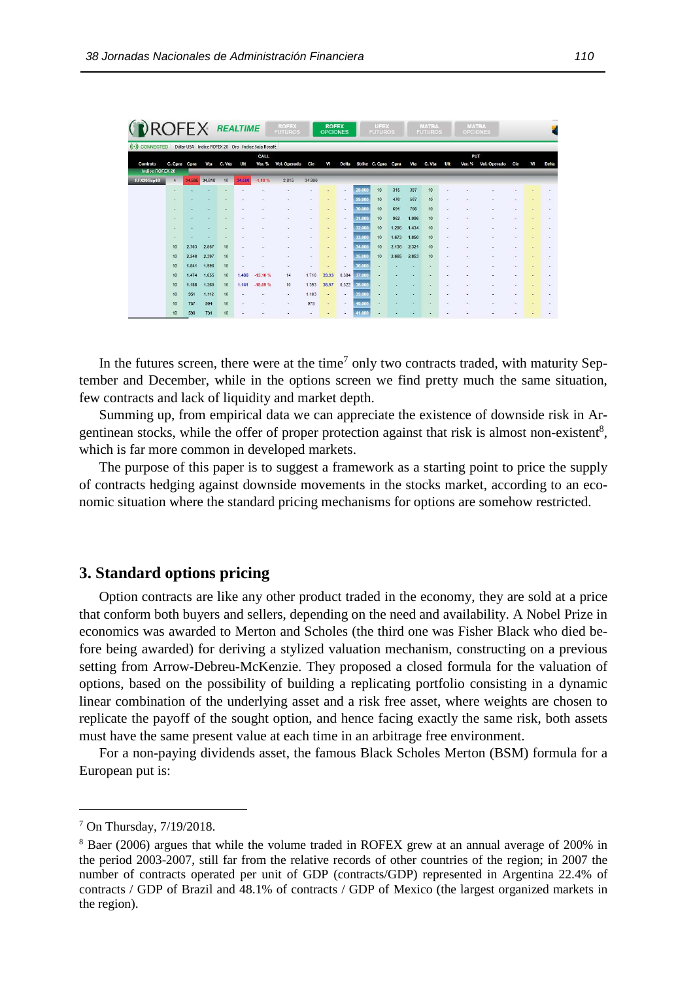| <b>NROFEX REALTIME</b> |                          |        |        |        |        |                                                  | <b>ROFEX</b><br><b>FUTUROS</b> |        | <b>ROFEX</b><br><b>OPCIONES</b> |              |        | UFEX<br><b>FUTUROS</b> |       |       | <b>MATBA</b><br><b>FUTUROS</b> |                          | <b>MATBA</b> | <b>OPCIONES</b> |     |           | 73,0         |
|------------------------|--------------------------|--------|--------|--------|--------|--------------------------------------------------|--------------------------------|--------|---------------------------------|--------------|--------|------------------------|-------|-------|--------------------------------|--------------------------|--------------|-----------------|-----|-----------|--------------|
| $((\cdot))$ CONNECTED  |                          |        |        |        |        | Dólar USA Indice ROFEX 20 Oro Indice Soja Rosafé |                                |        |                                 |              |        |                        |       |       |                                |                          |              |                 |     |           |              |
|                        |                          |        |        |        |        | CALL                                             |                                |        |                                 |              |        |                        |       |       |                                |                          | PUT          |                 |     |           |              |
| Contrato               | C. Cpra Cpra             |        | Vta    | C. Vta | Ult    | Var. %                                           | Vol. Operado                   | Cie    | VI                              | <b>Delta</b> |        | Strike C. Cpra Cpra    |       | Vta   | C. Vta                         | Ult                      | Var. %       | Vol. Operado    | Cie | <b>VI</b> | <b>Delta</b> |
| <b>Indice ROFEX 20</b> |                          |        |        |        |        |                                                  |                                |        |                                 |              |        |                        |       |       |                                |                          |              |                 |     |           |              |
| RFX20Sep18             | $\overline{4}$           | 34,585 | 34.610 | 10     | 34.586 | $-1.16%$                                         | 2.815                          | 34.990 |                                 |              |        |                        |       |       |                                |                          |              |                 |     |           |              |
|                        | $\overline{a}$           |        |        |        |        |                                                  |                                |        |                                 | $\sim$       | 28,000 | 10                     | 315   | 387   | 10                             |                          |              |                 |     |           |              |
|                        |                          |        |        |        |        |                                                  |                                |        |                                 |              | 29,000 | 10                     | 476   | 567   | 10                             |                          |              |                 |     |           |              |
|                        |                          |        |        |        |        |                                                  |                                |        |                                 |              | 30,000 | 10                     | 691   | 798   | 10                             |                          |              |                 |     |           |              |
|                        |                          |        |        |        |        |                                                  |                                |        |                                 |              | 31,000 | 10                     | 962   | 1.086 | 10                             |                          |              |                 |     |           |              |
|                        | $\overline{\phantom{a}}$ |        |        | -      |        |                                                  | ÷                              | ٠      | $\overline{a}$                  | ۰            | 32,000 | 10                     | 1.296 | 1.434 | 10                             | ٠                        |              |                 |     |           |              |
|                        |                          |        |        |        |        |                                                  |                                |        |                                 |              | 33,000 | 10                     | 1.673 | 1.850 | 10                             | ۰                        |              |                 |     |           |              |
|                        | 10                       | 2.703  | 2.857  | 10     |        |                                                  |                                |        |                                 |              | 34,000 | 10                     | 2.136 | 2.321 | 10                             | $\overline{\phantom{a}}$ |              |                 |     |           |              |
|                        | 10                       | 2.240  | 2.397  | 10     |        |                                                  |                                |        |                                 |              | 35,000 | 10                     | 2.665 | 2.853 | 10                             |                          |              |                 |     |           |              |
|                        | 10                       | 1.841  | 1.996  | 10     |        |                                                  |                                |        |                                 |              | 36,000 |                        |       |       |                                |                          |              |                 |     |           |              |
|                        | 10                       | 1.474  | 1.655  | 10     | 1.486  | $-13.10%$                                        | 14                             | 1,710  | 39.93                           | 0.384        | 37,000 |                        |       |       |                                |                          |              |                 |     |           |              |
|                        | 10                       | 1.188  | 1.360  | 10     | 1.141  | $-18.09%$                                        | 10                             | 1.393  | 38,97                           | 0,322        | 38,000 |                        |       |       |                                |                          |              |                 |     |           |              |
|                        | 10                       | 951    | 1.112  | 10     |        |                                                  | ÷.                             | 1.103  |                                 |              | 39,000 |                        |       |       |                                |                          |              |                 |     |           |              |
|                        | 10                       | 757    | 904    | 10     |        |                                                  | ٠                              | 975    |                                 |              | 40.000 |                        |       |       |                                |                          |              |                 |     |           |              |
|                        | 10                       | 598    | 731    | 10     |        |                                                  |                                |        |                                 |              | 41.000 |                        |       |       |                                |                          |              |                 |     |           |              |

In the futures screen, there were at the time<sup>7</sup> only two contracts traded, with maturity September and December, while in the options screen we find pretty much the same situation, few contracts and lack of liquidity and market depth.

Summing up, from empirical data we can appreciate the existence of downside risk in Argentinean stocks, while the offer of proper protection against that risk is almost non-existent<sup>8</sup>, which is far more common in developed markets.

The purpose of this paper is to suggest a framework as a starting point to price the supply of contracts hedging against downside movements in the stocks market, according to an economic situation where the standard pricing mechanisms for options are somehow restricted.

# **3. Standard options pricing**

Option contracts are like any other product traded in the economy, they are sold at a price that conform both buyers and sellers, depending on the need and availability. A Nobel Prize in economics was awarded to Merton and Scholes (the third one was Fisher Black who died before being awarded) for deriving a stylized valuation mechanism, constructing on a previous setting from Arrow-Debreu-McKenzie. They proposed a closed formula for the valuation of options, based on the possibility of building a replicating portfolio consisting in a dynamic linear combination of the underlying asset and a risk free asset, where weights are chosen to replicate the payoff of the sought option, and hence facing exactly the same risk, both assets must have the same present value at each time in an arbitrage free environment.

For a non-paying dividends asset, the famous Black Scholes Merton (BSM) formula for a European put is:

<sup>7</sup> On Thursday, 7/19/2018.

<sup>&</sup>lt;sup>8</sup> Baer (2006) argues that while the volume traded in ROFEX grew at an annual average of 200% in the period 2003-2007, still far from the relative records of other countries of the region; in 2007 the number of contracts operated per unit of GDP (contracts/GDP) represented in Argentina 22.4% of contracts / GDP of Brazil and 48.1% of contracts / GDP of Mexico (the largest organized markets in the region).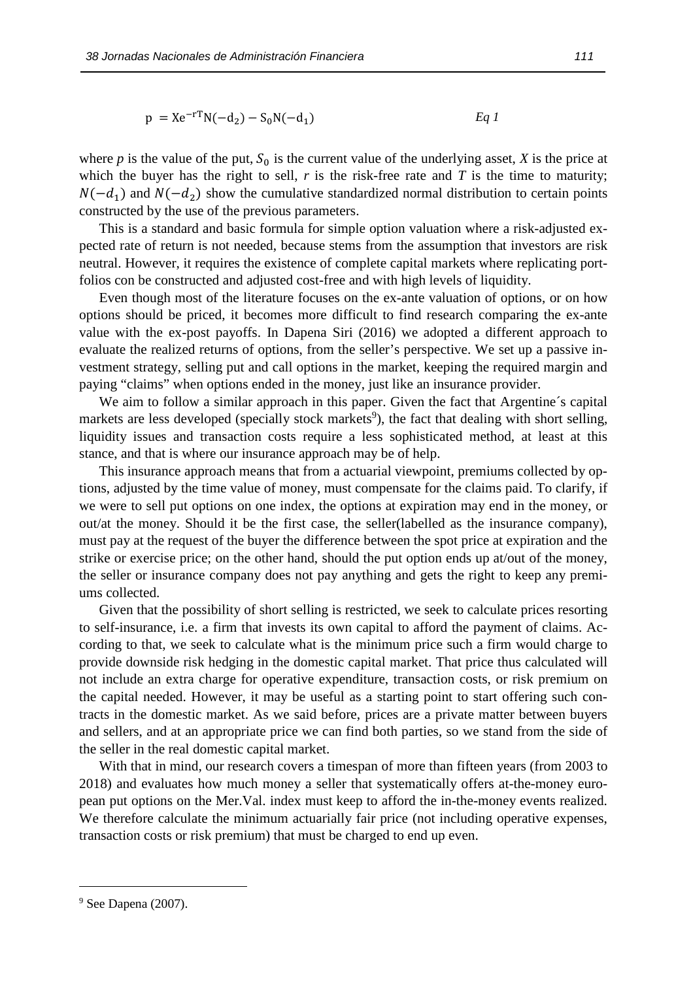$$
p = Xe^{-rT}N(-d_2) - S_0N(-d_1)
$$

where *p* is the value of the put,  $S_0$  is the current value of the underlying asset, *X* is the price at which the buyer has the right to sell,  $r$  is the risk-free rate and  $T$  is the time to maturity;  $N(-d_1)$  and  $N(-d_2)$  show the cumulative standardized normal distribution to certain points constructed by the use of the previous parameters.

This is a standard and basic formula for simple option valuation where a risk-adjusted expected rate of return is not needed, because stems from the assumption that investors are risk neutral. However, it requires the existence of complete capital markets where replicating portfolios con be constructed and adjusted cost-free and with high levels of liquidity.

Even though most of the literature focuses on the ex-ante valuation of options, or on how options should be priced, it becomes more difficult to find research comparing the ex-ante value with the ex-post payoffs. In Dapena Siri (2016) we adopted a different approach to evaluate the realized returns of options, from the seller's perspective. We set up a passive investment strategy, selling put and call options in the market, keeping the required margin and paying "claims" when options ended in the money, just like an insurance provider.

We aim to follow a similar approach in this paper. Given the fact that Argentine's capital markets are less developed (specially stock markets<sup>9</sup>), the fact that dealing with short selling, liquidity issues and transaction costs require a less sophisticated method, at least at this stance, and that is where our insurance approach may be of help.

This insurance approach means that from a actuarial viewpoint, premiums collected by options, adjusted by the time value of money, must compensate for the claims paid. To clarify, if we were to sell put options on one index, the options at expiration may end in the money, or out/at the money. Should it be the first case, the seller(labelled as the insurance company), must pay at the request of the buyer the difference between the spot price at expiration and the strike or exercise price; on the other hand, should the put option ends up at/out of the money, the seller or insurance company does not pay anything and gets the right to keep any premiums collected.

Given that the possibility of short selling is restricted, we seek to calculate prices resorting to self-insurance, i.e. a firm that invests its own capital to afford the payment of claims. According to that, we seek to calculate what is the minimum price such a firm would charge to provide downside risk hedging in the domestic capital market. That price thus calculated will not include an extra charge for operative expenditure, transaction costs, or risk premium on the capital needed. However, it may be useful as a starting point to start offering such contracts in the domestic market. As we said before, prices are a private matter between buyers and sellers, and at an appropriate price we can find both parties, so we stand from the side of the seller in the real domestic capital market.

With that in mind, our research covers a timespan of more than fifteen years (from 2003 to 2018) and evaluates how much money a seller that systematically offers at-the-money european put options on the Mer.Val. index must keep to afford the in-the-money events realized. We therefore calculate the minimum actuarially fair price (not including operative expenses, transaction costs or risk premium) that must be charged to end up even.

<sup>&</sup>lt;sup>9</sup> See Dapena (2007).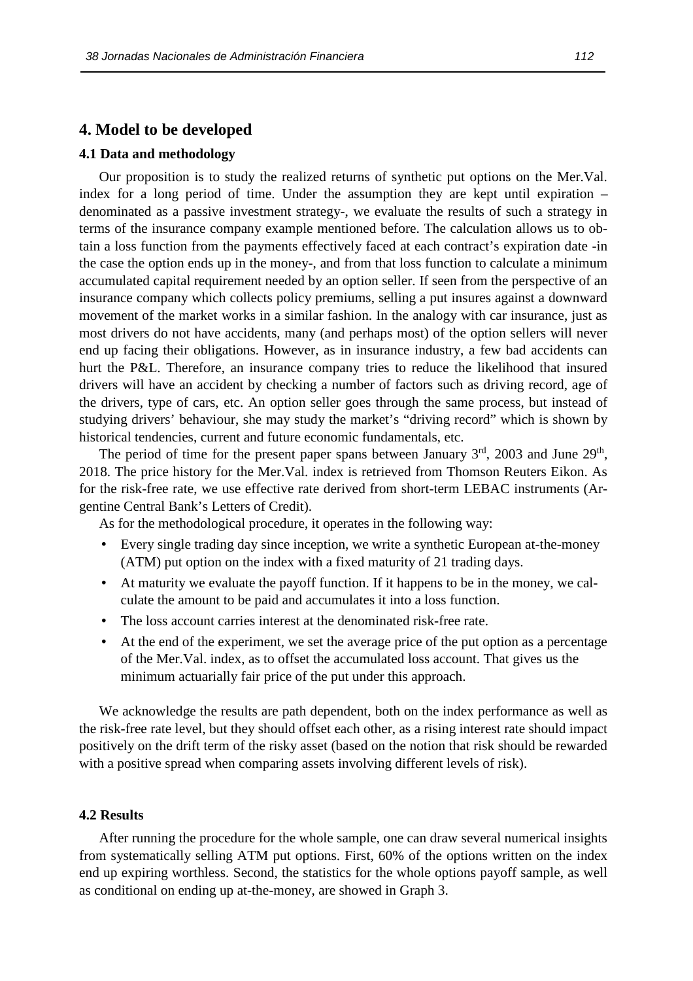## **4. Model to be developed**

## **4.1 Data and methodology**

Our proposition is to study the realized returns of synthetic put options on the Mer.Val. index for a long period of time. Under the assumption they are kept until expiration – denominated as a passive investment strategy-, we evaluate the results of such a strategy in terms of the insurance company example mentioned before. The calculation allows us to obtain a loss function from the payments effectively faced at each contract's expiration date -in the case the option ends up in the money-, and from that loss function to calculate a minimum accumulated capital requirement needed by an option seller. If seen from the perspective of an insurance company which collects policy premiums, selling a put insures against a downward movement of the market works in a similar fashion. In the analogy with car insurance, just as most drivers do not have accidents, many (and perhaps most) of the option sellers will never end up facing their obligations. However, as in insurance industry, a few bad accidents can hurt the P&L. Therefore, an insurance company tries to reduce the likelihood that insured drivers will have an accident by checking a number of factors such as driving record, age of the drivers, type of cars, etc. An option seller goes through the same process, but instead of studying drivers' behaviour, she may study the market's "driving record" which is shown by historical tendencies, current and future economic fundamentals, etc.

The period of time for the present paper spans between January  $3<sup>rd</sup>$ , 2003 and June  $29<sup>th</sup>$ , 2018. The price history for the Mer.Val. index is retrieved from Thomson Reuters Eikon. As for the risk-free rate, we use effective rate derived from short-term LEBAC instruments (Argentine Central Bank's Letters of Credit).

As for the methodological procedure, it operates in the following way:

- Every single trading day since inception, we write a synthetic European at-the-money (ATM) put option on the index with a fixed maturity of 21 trading days.
- At maturity we evaluate the payoff function. If it happens to be in the money, we calculate the amount to be paid and accumulates it into a loss function.
- The loss account carries interest at the denominated risk-free rate.
- At the end of the experiment, we set the average price of the put option as a percentage of the Mer.Val. index, as to offset the accumulated loss account. That gives us the minimum actuarially fair price of the put under this approach.

We acknowledge the results are path dependent, both on the index performance as well as the risk-free rate level, but they should offset each other, as a rising interest rate should impact positively on the drift term of the risky asset (based on the notion that risk should be rewarded with a positive spread when comparing assets involving different levels of risk).

## **4.2 Results**

After running the procedure for the whole sample, one can draw several numerical insights from systematically selling ATM put options. First, 60% of the options written on the index end up expiring worthless. Second, the statistics for the whole options payoff sample, as well as conditional on ending up at-the-money, are showed in Graph 3.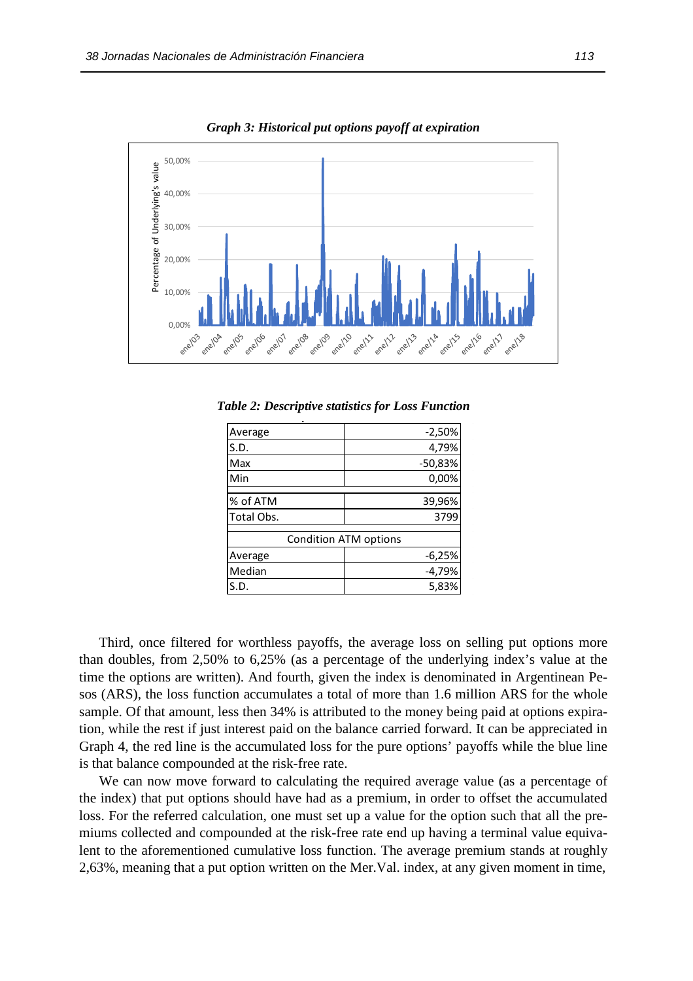

*Graph 3: Historical put options payoff at expiration* 

*Table 2: Descriptive statistics for Loss Function* **Table 2. Descriptive Statistics for Loss Function**

| Average    | $-2,50%$                     |
|------------|------------------------------|
| S.D.       | 4,79%                        |
| Max        | $-50,83%$                    |
| Min        | 0,00%                        |
| % of ATM   | 39,96%                       |
| Total Obs. | 3799                         |
|            | <b>Condition ATM options</b> |
| Average    | $-6,25%$                     |
| Median     | $-4,79%$                     |
| S.D.       | 5,83%                        |

Third, once filtered for worthless payoffs, the average loss on selling put options more than doubles, from 2,50% to 6,25% (as a percentage of the underlying index's value at the time the options are written). And fourth, given the index is denominated in Argentinean Pesos (ARS), the loss function accumulates a total of more than 1.6 million ARS for the whole sample. Of that amount, less then 34% is attributed to the money being paid at options expiration, while the rest if just interest paid on the balance carried forward. It can be appreciated in Graph 4, the red line is the accumulated loss for the pure options' payoffs while the blue line is that balance compounded at the risk-free rate.

We can now move forward to calculating the required average value (as a percentage of the index) that put options should have had as a premium, in order to offset the accumulated loss. For the referred calculation, one must set up a value for the option such that all the premiums collected and compounded at the risk-free rate end up having a terminal value equivalent to the aforementioned cumulative loss function. The average premium stands at roughly 2,63%, meaning that a put option written on the Mer.Val. index, at any given moment in time,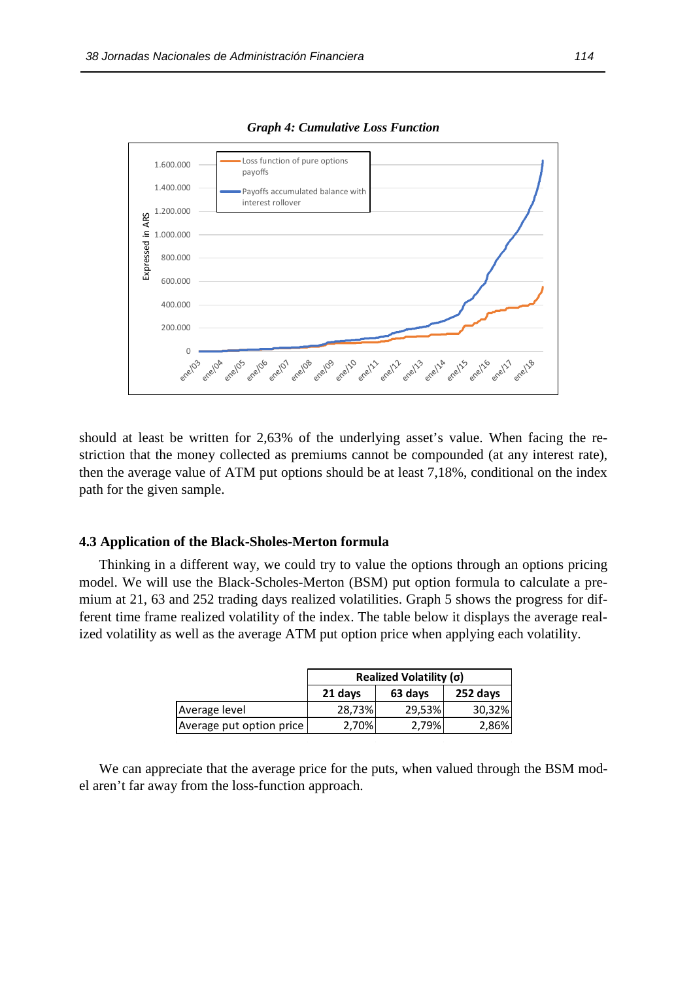

*Graph 4: Cumulative Loss Function* 

should at least be written for 2,63% of the underlying asset's value. When facing the restriction that the money collected as premiums cannot be compounded (at any interest rate), then the average value of ATM put options should be at least 7,18%, conditional on the index path for the given sample.

#### **4.3 Application of the Black-Sholes-Merton formula**

Thinking in a different way, we could try to value the options through an options pricing model. We will use the Black-Scholes-Merton (BSM) put option formula to calculate a premium at 21, 63 and 252 trading days realized volatilities. Graph 5 shows the progress for different time frame realized volatility of the index. The table below it displays the average realized volatility as well as the average ATM put option price when applying each volatility.

|                          | Realized Volatility $(\sigma)$ |        |        |  |  |  |  |  |  |
|--------------------------|--------------------------------|--------|--------|--|--|--|--|--|--|
|                          | 252 days<br>21 days<br>63 days |        |        |  |  |  |  |  |  |
| Average level            | 28,73%                         | 29,53% | 30,32% |  |  |  |  |  |  |
| Average put option price | 2,70%                          | 2,79%  | 2,86%  |  |  |  |  |  |  |

We can appreciate that the average price for the puts, when valued through the BSM model aren't far away from the loss-function approach.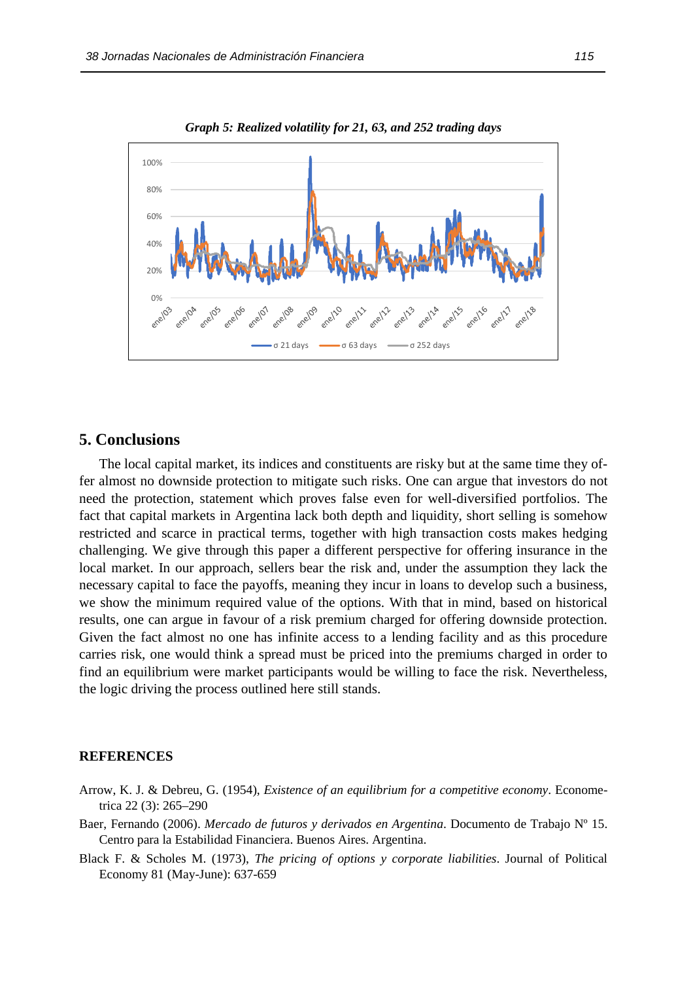

*Graph 5: Realized volatility for 21, 63, and 252 trading days* 

# **5. Conclusions**

The local capital market, its indices and constituents are risky but at the same time they offer almost no downside protection to mitigate such risks. One can argue that investors do not need the protection, statement which proves false even for well-diversified portfolios. The fact that capital markets in Argentina lack both depth and liquidity, short selling is somehow restricted and scarce in practical terms, together with high transaction costs makes hedging challenging. We give through this paper a different perspective for offering insurance in the local market. In our approach, sellers bear the risk and, under the assumption they lack the necessary capital to face the payoffs, meaning they incur in loans to develop such a business, we show the minimum required value of the options. With that in mind, based on historical results, one can argue in favour of a risk premium charged for offering downside protection. Given the fact almost no one has infinite access to a lending facility and as this procedure carries risk, one would think a spread must be priced into the premiums charged in order to find an equilibrium were market participants would be willing to face the risk. Nevertheless, the logic driving the process outlined here still stands.

## **REFERENCES**

- Arrow, K. J. & Debreu, G. (1954), *Existence of an equilibrium for a competitive economy*. Econometrica 22 (3): 265–290
- Baer, Fernando (2006). *Mercado de futuros y derivados en Argentina*. Documento de Trabajo Nº 15. Centro para la Estabilidad Financiera. Buenos Aires. Argentina.
- Black F. & Scholes M. (1973), *The pricing of options y corporate liabilities*. Journal of Political Economy 81 (May-June): 637-659